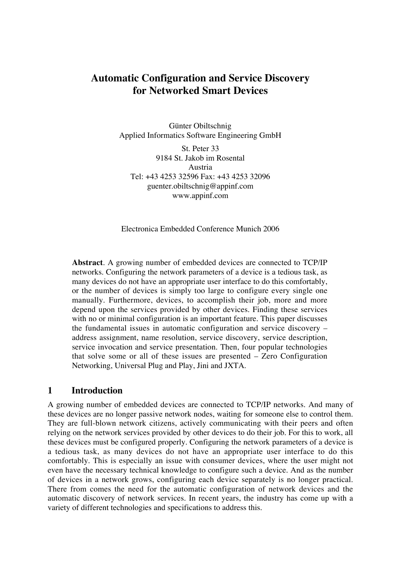# **Automatic Configuration and Service Discovery for Networked Smart Devices**

Günter Obiltschnig Applied Informatics Software Engineering GmbH

St. Peter 33 9184 St. Jakob im Rosental Austria Tel: +43 4253 32596 Fax: +43 4253 32096 guenter.obiltschnig@appinf.com www.appinf.com

Electronica Embedded Conference Munich 2006

**Abstract**. A growing number of embedded devices are connected to TCP/IP networks. Configuring the network parameters of a device is a tedious task, as many devices do not have an appropriate user interface to do this comfortably, or the number of devices is simply too large to configure every single one manually. Furthermore, devices, to accomplish their job, more and more depend upon the services provided by other devices. Finding these services with no or minimal configuration is an important feature. This paper discusses the fundamental issues in automatic configuration and service discovery – address assignment, name resolution, service discovery, service description, service invocation and service presentation. Then, four popular technologies that solve some or all of these issues are presented – Zero Configuration Networking, Universal Plug and Play, Jini and JXTA.

#### **1 Introduction**

A growing number of embedded devices are connected to TCP/IP networks. And many of these devices are no longer passive network nodes, waiting for someone else to control them. They are full-blown network citizens, actively communicating with their peers and often relying on the network services provided by other devices to do their job. For this to work, all these devices must be configured properly. Configuring the network parameters of a device is a tedious task, as many devices do not have an appropriate user interface to do this comfortably. This is especially an issue with consumer devices, where the user might not even have the necessary technical knowledge to configure such a device. And as the number of devices in a network grows, configuring each device separately is no longer practical. There from comes the need for the automatic configuration of network devices and the automatic discovery of network services. In recent years, the industry has come up with a variety of different technologies and specifications to address this.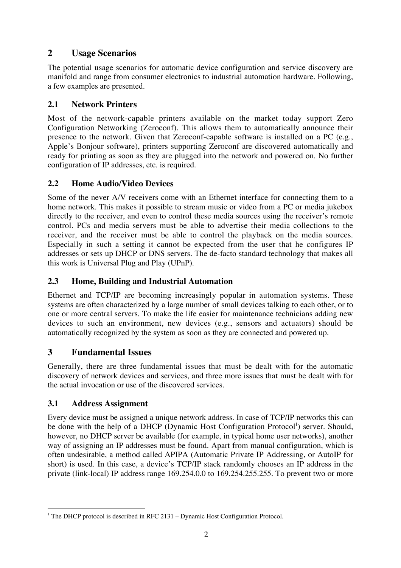# **2 Usage Scenarios**

The potential usage scenarios for automatic device configuration and service discovery are manifold and range from consumer electronics to industrial automation hardware. Following, a few examples are presented.

## **2.1 Network Printers**

Most of the network-capable printers available on the market today support Zero Configuration Networking (Zeroconf). This allows them to automatically announce their presence to the network. Given that Zeroconf-capable software is installed on a PC (e.g., Apple's Bonjour software), printers supporting Zeroconf are discovered automatically and ready for printing as soon as they are plugged into the network and powered on. No further configuration of IP addresses, etc. is required.

### **2.2 Home Audio/Video Devices**

Some of the never A/V receivers come with an Ethernet interface for connecting them to a home network. This makes it possible to stream music or video from a PC or media jukebox directly to the receiver, and even to control these media sources using the receiver's remote control. PCs and media servers must be able to advertise their media collections to the receiver, and the receiver must be able to control the playback on the media sources. Especially in such a setting it cannot be expected from the user that he configures IP addresses or sets up DHCP or DNS servers. The de-facto standard technology that makes all this work is Universal Plug and Play (UPnP).

#### **2.3 Home, Building and Industrial Automation**

Ethernet and TCP/IP are becoming increasingly popular in automation systems. These systems are often characterized by a large number of small devices talking to each other, or to one or more central servers. To make the life easier for maintenance technicians adding new devices to such an environment, new devices (e.g., sensors and actuators) should be automatically recognized by the system as soon as they are connected and powered up.

## **3 Fundamental Issues**

Generally, there are three fundamental issues that must be dealt with for the automatic discovery of network devices and services, and three more issues that must be dealt with for the actual invocation or use of the discovered services.

#### **3.1 Address Assignment**

Every device must be assigned a unique network address. In case of TCP/IP networks this can be done with the help of a DHCP (Dynamic Host Configuration Protocol<sup>1</sup>) server. Should, however, no DHCP server be available (for example, in typical home user networks), another way of assigning an IP addresses must be found. Apart from manual configuration, which is often undesirable, a method called APIPA (Automatic Private IP Addressing, or AutoIP for short) is used. In this case, a device's TCP/IP stack randomly chooses an IP address in the private (link-local) IP address range 169.254.0.0 to 169.254.255.255. To prevent two or more

<sup>|&</sup>lt;br>|<br>| <sup>1</sup> The DHCP protocol is described in RFC 2131 – Dynamic Host Configuration Protocol.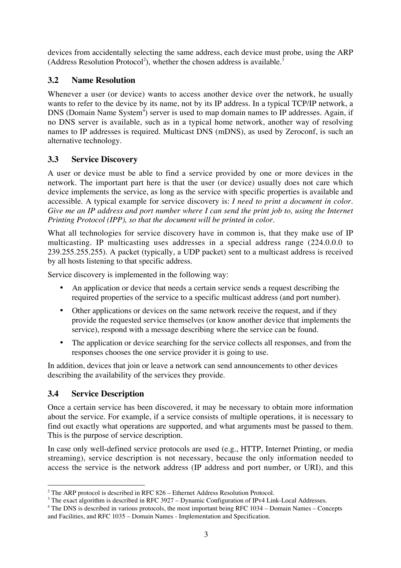devices from accidentally selecting the same address, each device must probe, using the ARP (Address Resolution Protocol<sup>2</sup>), whether the chosen address is available.<sup>3</sup>

#### **3.2 Name Resolution**

Whenever a user (or device) wants to access another device over the network, he usually wants to refer to the device by its name, not by its IP address. In a typical TCP/IP network, a DNS (Domain Name System<sup>4</sup>) server is used to map domain names to IP addresses. Again, if no DNS server is available, such as in a typical home network, another way of resolving names to IP addresses is required. Multicast DNS (mDNS), as used by Zeroconf, is such an alternative technology.

### **3.3 Service Discovery**

A user or device must be able to find a service provided by one or more devices in the network. The important part here is that the user (or device) usually does not care which device implements the service, as long as the service with specific properties is available and accessible. A typical example for service discovery is: *I need to print a document in color. Give me an IP address and port number where I can send the print job to, using the Internet Printing Protocol (IPP), so that the document will be printed in color.*

What all technologies for service discovery have in common is, that they make use of IP multicasting. IP multicasting uses addresses in a special address range (224.0.0.0 to 239.255.255.255). A packet (typically, a UDP packet) sent to a multicast address is received by all hosts listening to that specific address.

Service discovery is implemented in the following way:

- An application or device that needs a certain service sends a request describing the required properties of the service to a specific multicast address (and port number).
- Other applications or devices on the same network receive the request, and if they provide the requested service themselves (or know another device that implements the service), respond with a message describing where the service can be found.
- The application or device searching for the service collects all responses, and from the responses chooses the one service provider it is going to use.

In addition, devices that join or leave a network can send announcements to other devices describing the availability of the services they provide.

#### **3.4 Service Description**

Once a certain service has been discovered, it may be necessary to obtain more information about the service. For example, if a service consists of multiple operations, it is necessary to find out exactly what operations are supported, and what arguments must be passed to them. This is the purpose of service description.

In case only well-defined service protocols are used (e.g., HTTP, Internet Printing, or media streaming), service description is not necessary, because the only information needed to access the service is the network address (IP address and port number, or URI), and this

 $\frac{1}{2}$  $2$  The ARP protocol is described in RFC 826 – Ethernet Address Resolution Protocol.

<sup>&</sup>lt;sup>3</sup> The exact algorithm is described in RFC 3927 - Dynamic Configuration of IPv4 Link-Local Addresses.

<sup>&</sup>lt;sup>4</sup> The DNS is described in various protocols, the most important being RFC 1034 – Domain Names – Concepts and Facilities, and RFC 1035 – Domain Names - Implementation and Specification.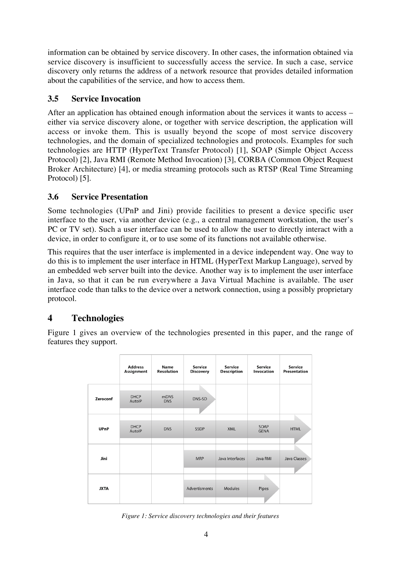information can be obtained by service discovery. In other cases, the information obtained via service discovery is insufficient to successfully access the service. In such a case, service discovery only returns the address of a network resource that provides detailed information about the capabilities of the service, and how to access them.

## **3.5 Service Invocation**

After an application has obtained enough information about the services it wants to access – either via service discovery alone, or together with service description, the application will access or invoke them. This is usually beyond the scope of most service discovery technologies, and the domain of specialized technologies and protocols. Examples for such technologies are HTTP (HyperText Transfer Protocol) [1], SOAP (Simple Object Access Protocol) [2], Java RMI (Remote Method Invocation) [3], CORBA (Common Object Request Broker Architecture) [4], or media streaming protocols such as RTSP (Real Time Streaming Protocol) [5].

### **3.6 Service Presentation**

Some technologies (UPnP and Jini) provide facilities to present a device specific user interface to the user, via another device (e.g., a central management workstation, the user's PC or TV set). Such a user interface can be used to allow the user to directly interact with a device, in order to configure it, or to use some of its functions not available otherwise.

This requires that the user interface is implemented in a device independent way. One way to do this is to implement the user interface in HTML (HyperText Markup Language), served by an embedded web server built into the device. Another way is to implement the user interface in Java, so that it can be run everywhere a Java Virtual Machine is available. The user interface code than talks to the device over a network connection, using a possibly proprietary protocol.

## **4 Technologies**

Figure 1 gives an overview of the technologies presented in this paper, and the range of features they support.

|             | <b>Address</b><br>Assignment | Name<br><b>Resolution</b> | Service<br><b>Discovery</b> | Service<br><b>Description</b> | Service<br>Invocation | Service<br>Presentation |
|-------------|------------------------------|---------------------------|-----------------------------|-------------------------------|-----------------------|-------------------------|
| Zeroconf    | <b>DHCP</b><br>AutolP        | <b>mDNS</b><br><b>DNS</b> | DNS-SD                      |                               |                       |                         |
| <b>UPnP</b> | <b>DHCP</b><br>AutolP        | <b>DNS</b>                | <b>SSDP</b>                 | <b>XML</b>                    | SOAP<br><b>GENA</b>   | <b>HTML</b>             |
| Jini        |                              |                           | <b>MRP</b>                  | Java Interfaces               | Java RMI              | Java Classes            |
| <b>JXTA</b> |                              |                           | Advertisments               | <b>Modules</b>                | Pipes                 |                         |

*Figure 1: Service discovery technologies and their features*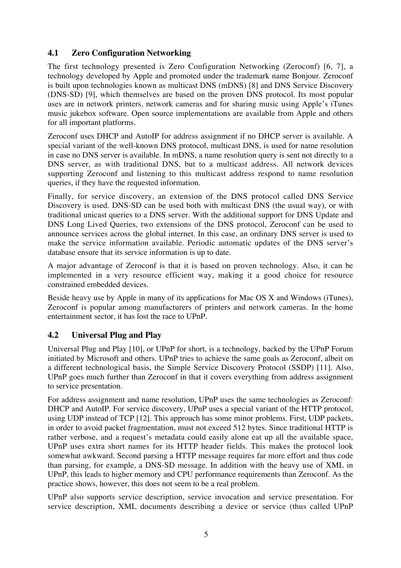#### **4.1 Zero Configuration Networking**

The first technology presented is Zero Configuration Networking (Zeroconf) [6, 7], a technology developed by Apple and promoted under the trademark name Bonjour. Zeroconf is built upon technologies known as multicast DNS (mDNS) [8] and DNS Service Discovery (DNS-SD) [9], which themselves are based on the proven DNS protocol. Its most popular uses are in network printers, network cameras and for sharing music using Apple's iTunes music jukebox software. Open source implementations are available from Apple and others for all important platforms.

Zeroconf uses DHCP and AutoIP for address assignment if no DHCP server is available. A special variant of the well-known DNS protocol, multicast DNS, is used for name resolution in case no DNS server is available. In mDNS, a name resolution query is sent not directly to a DNS server, as with traditional DNS, but to a multicast address. All network devices supporting Zeroconf and listening to this multicast address respond to name resolution queries, if they have the requested information.

Finally, for service discovery, an extension of the DNS protocol called DNS Service Discovery is used. DNS-SD can be used both with multicast DNS (the usual way), or with traditional unicast queries to a DNS server. With the additional support for DNS Update and DNS Long Lived Queries, two extensions of the DNS protocol, Zeroconf can be used to announce services across the global internet. In this case, an ordinary DNS server is used to make the service information available. Periodic automatic updates of the DNS server's database ensure that its service information is up to date.

A major advantage of Zeroconf is that it is based on proven technology. Also, it can be implemented in a very resource efficient way, making it a good choice for resource constrained embedded devices.

Beside heavy use by Apple in many of its applications for Mac OS X and Windows (iTunes), Zeroconf is popular among manufacturers of printers and network cameras. In the home entertainment sector, it has lost the race to UPnP.

## **4.2 Universal Plug and Play**

Universal Plug and Play [10], or UPnP for short, is a technology, backed by the UPnP Forum initiated by Microsoft and others. UPnP tries to achieve the same goals as Zeroconf, albeit on a different technological basis, the Simple Service Discovery Protocol (SSDP) [11]. Also, UPnP goes much further than Zeroconf in that it covers everything from address assignment to service presentation.

For address assignment and name resolution, UPnP uses the same technologies as Zeroconf: DHCP and AutoIP. For service discovery, UPnP uses a special variant of the HTTP protocol, using UDP instead of TCP [12]. This approach has some minor problems. First, UDP packets, in order to avoid packet fragmentation, must not exceed 512 bytes. Since traditional HTTP is rather verbose, and a request's metadata could easily alone eat up all the available space, UPnP uses extra short names for its HTTP header fields. This makes the protocol look somewhat awkward. Second parsing a HTTP message requires far more effort and thus code than parsing, for example, a DNS-SD message. In addition with the heavy use of XML in UPnP, this leads to higher memory and CPU performance requirements than Zeroconf. As the practice shows, however, this does not seem to be a real problem.

UPnP also supports service description, service invocation and service presentation. For service description, XML documents describing a device or service (thus called UPnP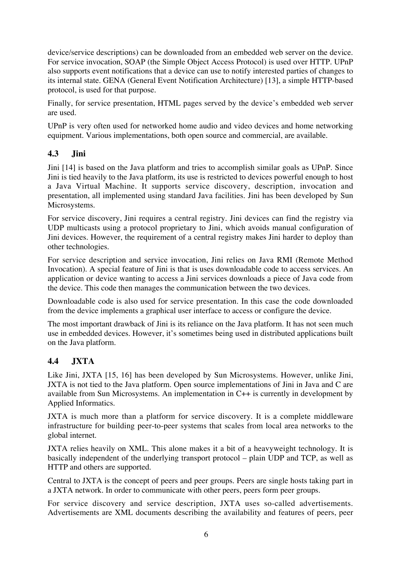device/service descriptions) can be downloaded from an embedded web server on the device. For service invocation, SOAP (the Simple Object Access Protocol) is used over HTTP. UPnP also supports event notifications that a device can use to notify interested parties of changes to its internal state. GENA (General Event Notification Architecture) [13], a simple HTTP-based protocol, is used for that purpose.

Finally, for service presentation, HTML pages served by the device's embedded web server are used.

UPnP is very often used for networked home audio and video devices and home networking equipment. Various implementations, both open source and commercial, are available.

#### **4.3 Jini**

Jini [14] is based on the Java platform and tries to accomplish similar goals as UPnP. Since Jini is tied heavily to the Java platform, its use is restricted to devices powerful enough to host a Java Virtual Machine. It supports service discovery, description, invocation and presentation, all implemented using standard Java facilities. Jini has been developed by Sun Microsystems.

For service discovery, Jini requires a central registry. Jini devices can find the registry via UDP multicasts using a protocol proprietary to Jini, which avoids manual configuration of Jini devices. However, the requirement of a central registry makes Jini harder to deploy than other technologies.

For service description and service invocation, Jini relies on Java RMI (Remote Method Invocation). A special feature of Jini is that is uses downloadable code to access services. An application or device wanting to access a Jini services downloads a piece of Java code from the device. This code then manages the communication between the two devices.

Downloadable code is also used for service presentation. In this case the code downloaded from the device implements a graphical user interface to access or configure the device.

The most important drawback of Jini is its reliance on the Java platform. It has not seen much use in embedded devices. However, it's sometimes being used in distributed applications built on the Java platform.

## **4.4 JXTA**

Like Jini, JXTA [15, 16] has been developed by Sun Microsystems. However, unlike Jini, JXTA is not tied to the Java platform. Open source implementations of Jini in Java and C are available from Sun Microsystems. An implementation in C++ is currently in development by Applied Informatics.

JXTA is much more than a platform for service discovery. It is a complete middleware infrastructure for building peer-to-peer systems that scales from local area networks to the global internet.

JXTA relies heavily on XML. This alone makes it a bit of a heavyweight technology. It is basically independent of the underlying transport protocol – plain UDP and TCP, as well as HTTP and others are supported.

Central to JXTA is the concept of peers and peer groups. Peers are single hosts taking part in a JXTA network. In order to communicate with other peers, peers form peer groups.

For service discovery and service description, JXTA uses so-called advertisements. Advertisements are XML documents describing the availability and features of peers, peer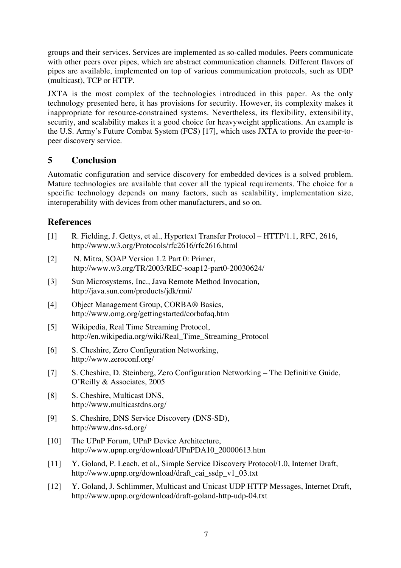groups and their services. Services are implemented as so-called modules. Peers communicate with other peers over pipes, which are abstract communication channels. Different flavors of pipes are available, implemented on top of various communication protocols, such as UDP (multicast), TCP or HTTP.

JXTA is the most complex of the technologies introduced in this paper. As the only technology presented here, it has provisions for security. However, its complexity makes it inappropriate for resource-constrained systems. Nevertheless, its flexibility, extensibility, security, and scalability makes it a good choice for heavyweight applications. An example is the U.S. Army's Future Combat System (FCS) [17], which uses JXTA to provide the peer-topeer discovery service.

## **5 Conclusion**

Automatic configuration and service discovery for embedded devices is a solved problem. Mature technologies are available that cover all the typical requirements. The choice for a specific technology depends on many factors, such as scalability, implementation size, interoperability with devices from other manufacturers, and so on.

## **References**

- [1] R. Fielding, J. Gettys, et al., Hypertext Transfer Protocol HTTP/1.1, RFC, 2616, http://www.w3.org/Protocols/rfc2616/rfc2616.html
- [2] N. Mitra, SOAP Version 1.2 Part 0: Primer, http://www.w3.org/TR/2003/REC-soap12-part0-20030624/
- [3] Sun Microsystems, Inc., Java Remote Method Invocation, http://java.sun.com/products/jdk/rmi/
- [4] Object Management Group, CORBA® Basics, http://www.omg.org/gettingstarted/corbafaq.htm
- [5] Wikipedia, Real Time Streaming Protocol, http://en.wikipedia.org/wiki/Real\_Time\_Streaming\_Protocol
- [6] S. Cheshire, Zero Configuration Networking, http://www.zeroconf.org/
- [7] S. Cheshire, D. Steinberg, Zero Configuration Networking The Definitive Guide, O'Reilly & Associates, 2005
- [8] S. Cheshire, Multicast DNS, http://www.multicastdns.org/
- [9] S. Cheshire, DNS Service Discovery (DNS-SD), http://www.dns-sd.org/
- [10] The UPnP Forum, UPnP Device Architecture, http://www.upnp.org/download/UPnPDA10\_20000613.htm
- [11] Y. Goland, P. Leach, et al., Simple Service Discovery Protocol/1.0, Internet Draft, http://www.upnp.org/download/draft\_cai\_ssdp\_v1\_03.txt
- [12] Y. Goland, J. Schlimmer, Multicast and Unicast UDP HTTP Messages, Internet Draft, http://www.upnp.org/download/draft-goland-http-udp-04.txt